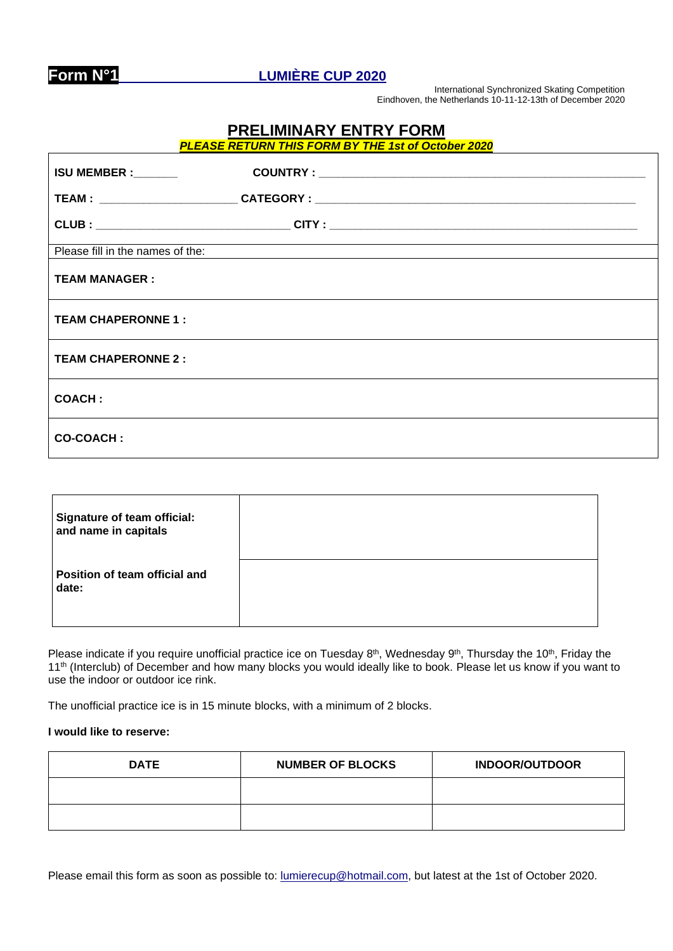

**Form N°1 LUMIÈRE CUP 2020**

International Synchronized Skating Competition Eindhoven, the Netherlands 10-11-12-13th of December 2020

## **PRELIMINARY ENTRY FORM**

*PLEASE RETURN THIS FORM BY THE 1st of October 2020*

| <b>ISU MEMBER :</b> _______      |  |  |
|----------------------------------|--|--|
|                                  |  |  |
|                                  |  |  |
| Please fill in the names of the: |  |  |
| <b>TEAM MANAGER:</b>             |  |  |
| <b>TEAM CHAPERONNE 1:</b>        |  |  |
| <b>TEAM CHAPERONNE 2:</b>        |  |  |
| <b>COACH:</b>                    |  |  |
| <b>CO-COACH:</b>                 |  |  |

| Signature of team official:<br>and name in capitals |  |
|-----------------------------------------------------|--|
| Position of team official and<br>date:              |  |

Please indicate if you require unofficial practice ice on Tuesday  $8^{th}$ , Wednesday  $9^{th}$ , Thursday the 10<sup>th</sup>, Friday the 11<sup>th</sup> (Interclub) of December and how many blocks you would ideally like to book. Please let us know if you want to use the indoor or outdoor ice rink.

The unofficial practice ice is in 15 minute blocks, with a minimum of 2 blocks.

## **I would like to reserve:**

| <b>DATE</b> | <b>NUMBER OF BLOCKS</b> | <b>INDOOR/OUTDOOR</b> |
|-------------|-------------------------|-----------------------|
|             |                         |                       |
|             |                         |                       |

Please email this form as soon as possible to: [lumierecup@hotmail.com,](mailto:lumierecup@hotmail.com) but latest at the 1st of October 2020.